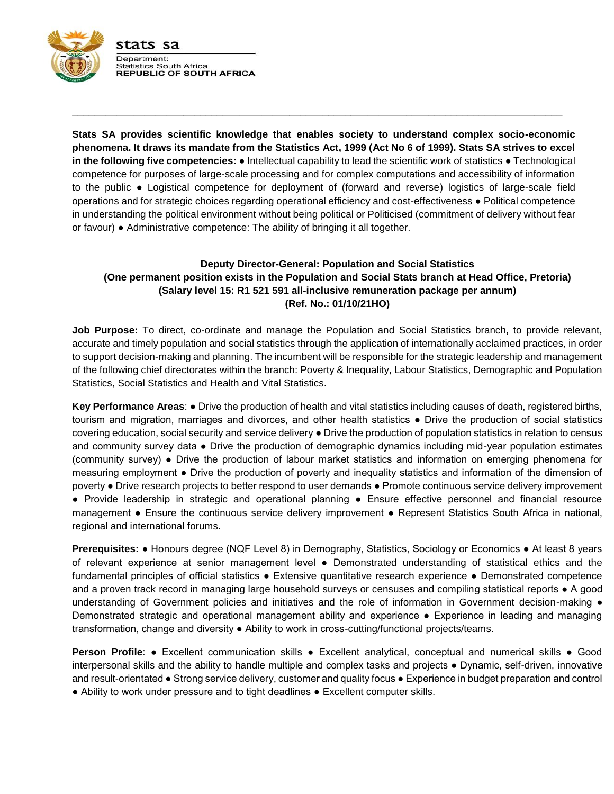

**Stats SA provides scientific knowledge that enables society to understand complex socio-economic phenomena. It draws its mandate from the Statistics Act, 1999 (Act No 6 of 1999). Stats SA strives to excel in the following five competencies:** ● Intellectual capability to lead the scientific work of statistics ● Technological competence for purposes of large-scale processing and for complex computations and accessibility of information to the public ● Logistical competence for deployment of (forward and reverse) logistics of large-scale field operations and for strategic choices regarding operational efficiency and cost-effectiveness ● Political competence in understanding the political environment without being political or Politicised (commitment of delivery without fear or favour) ● Administrative competence: The ability of bringing it all together.

**\_\_\_\_\_\_\_\_\_\_\_\_\_\_\_\_\_\_\_\_\_\_\_\_\_\_\_\_\_\_\_\_\_\_\_\_\_\_\_\_\_\_\_\_\_\_\_\_\_\_\_\_\_\_\_\_\_\_\_\_\_\_\_\_\_\_\_\_\_\_\_\_\_\_\_\_\_\_\_\_\_\_\_\_\_\_\_\_**

# **Deputy Director-General: Population and Social Statistics (One permanent position exists in the Population and Social Stats branch at Head Office, Pretoria) (Salary level 15: R1 521 591 all-inclusive remuneration package per annum) (Ref. No.: 01/10/21HO)**

**Job Purpose:** To direct, co-ordinate and manage the Population and Social Statistics branch, to provide relevant, accurate and timely population and social statistics through the application of internationally acclaimed practices, in order to support decision-making and planning. The incumbent will be responsible for the strategic leadership and management of the following chief directorates within the branch: Poverty & Inequality, Labour Statistics, Demographic and Population Statistics, Social Statistics and Health and Vital Statistics.

**Key Performance Areas**: ● Drive the production of health and vital statistics including causes of death, registered births, tourism and migration, marriages and divorces, and other health statistics ● Drive the production of social statistics covering education, social security and service delivery ● Drive the production of population statistics in relation to census and community survey data ● Drive the production of demographic dynamics including mid-year population estimates (community survey) ● Drive the production of labour market statistics and information on emerging phenomena for measuring employment ● Drive the production of poverty and inequality statistics and information of the dimension of poverty ● Drive research projects to better respond to user demands ● Promote continuous service delivery improvement ● Provide leadership in strategic and operational planning ● Ensure effective personnel and financial resource management ● Ensure the continuous service delivery improvement ● Represent Statistics South Africa in national, regional and international forums.

**Prerequisites:** ● Honours degree (NQF Level 8) in Demography, Statistics, Sociology or Economics ● At least 8 years of relevant experience at senior management level ● Demonstrated understanding of statistical ethics and the fundamental principles of official statistics ● Extensive quantitative research experience ● Demonstrated competence and a proven track record in managing large household surveys or censuses and compiling statistical reports • A good understanding of Government policies and initiatives and the role of information in Government decision-making  $\bullet$ Demonstrated strategic and operational management ability and experience ● Experience in leading and managing transformation, change and diversity ● Ability to work in cross-cutting/functional projects/teams.

**Person Profile**: • Excellent communication skills • Excellent analytical, conceptual and numerical skills • Good interpersonal skills and the ability to handle multiple and complex tasks and projects ● Dynamic, self-driven, innovative and result-orientated ● Strong service delivery, customer and quality focus ● Experience in budget preparation and control ● Ability to work under pressure and to tight deadlines ● Excellent computer skills.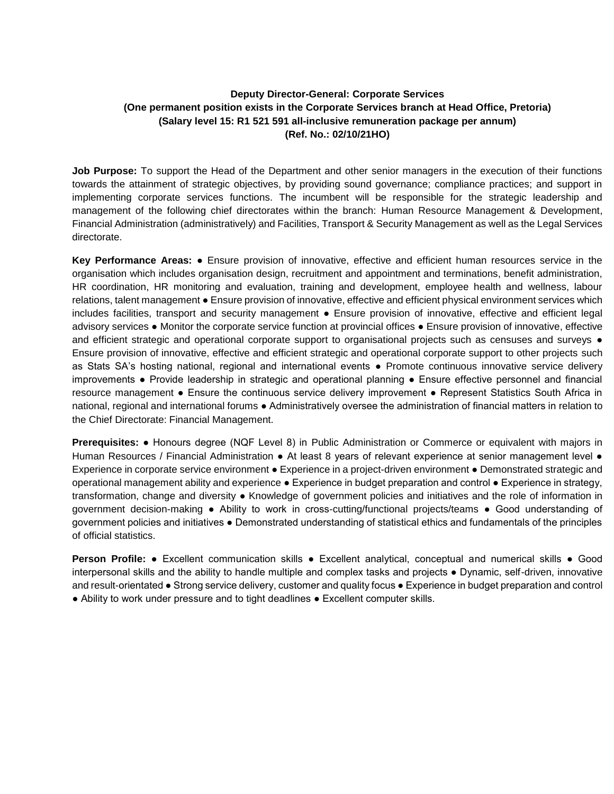# **Deputy Director-General: Corporate Services (One permanent position exists in the Corporate Services branch at Head Office, Pretoria) (Salary level 15: R1 521 591 all-inclusive remuneration package per annum) (Ref. No.: 02/10/21HO)**

**Job Purpose:** To support the Head of the Department and other senior managers in the execution of their functions towards the attainment of strategic objectives, by providing sound governance; compliance practices; and support in implementing corporate services functions. The incumbent will be responsible for the strategic leadership and management of the following chief directorates within the branch: Human Resource Management & Development, Financial Administration (administratively) and Facilities, Transport & Security Management as well as the Legal Services directorate.

**Key Performance Areas:** ● Ensure provision of innovative, effective and efficient human resources service in the organisation which includes organisation design, recruitment and appointment and terminations, benefit administration, HR coordination, HR monitoring and evaluation, training and development, employee health and wellness, labour relations, talent management ● Ensure provision of innovative, effective and efficient physical environment services which includes facilities, transport and security management ● Ensure provision of innovative, effective and efficient legal advisory services ● Monitor the corporate service function at provincial offices ● Ensure provision of innovative, effective and efficient strategic and operational corporate support to organisational projects such as censuses and surveys  $\bullet$ Ensure provision of innovative, effective and efficient strategic and operational corporate support to other projects such as Stats SA's hosting national, regional and international events ● Promote continuous innovative service delivery improvements ● Provide leadership in strategic and operational planning ● Ensure effective personnel and financial resource management ● Ensure the continuous service delivery improvement ● Represent Statistics South Africa in national, regional and international forums ● Administratively oversee the administration of financial matters in relation to the Chief Directorate: Financial Management.

**Prerequisites:** ● Honours degree (NQF Level 8) in Public Administration or Commerce or equivalent with majors in Human Resources / Financial Administration ● At least 8 years of relevant experience at senior management level ● Experience in corporate service environment ● Experience in a project-driven environment ● Demonstrated strategic and operational management ability and experience ● Experience in budget preparation and control ● Experience in strategy, transformation, change and diversity ● Knowledge of government policies and initiatives and the role of information in government decision-making ● Ability to work in cross-cutting/functional projects/teams ● Good understanding of government policies and initiatives ● Demonstrated understanding of statistical ethics and fundamentals of the principles of official statistics.

**Person Profile:** ● Excellent communication skills ● Excellent analytical, conceptual and numerical skills ● Good interpersonal skills and the ability to handle multiple and complex tasks and projects ● Dynamic, self-driven, innovative and result-orientated ● Strong service delivery, customer and quality focus ● Experience in budget preparation and control ● Ability to work under pressure and to tight deadlines ● Excellent computer skills.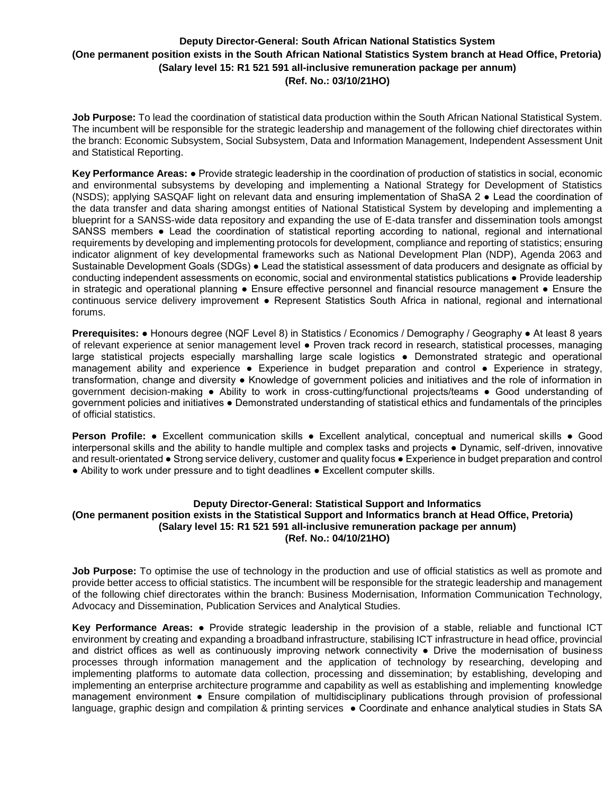# **Deputy Director-General: South African National Statistics System (One permanent position exists in the South African National Statistics System branch at Head Office, Pretoria) (Salary level 15: R1 521 591 all-inclusive remuneration package per annum) (Ref. No.: 03/10/21HO)**

**Job Purpose:** To lead the coordination of statistical data production within the South African National Statistical System. The incumbent will be responsible for the strategic leadership and management of the following chief directorates within the branch: Economic Subsystem, Social Subsystem, Data and Information Management, Independent Assessment Unit and Statistical Reporting.

**Key Performance Areas:** ● Provide strategic leadership in the coordination of production of statistics in social, economic and environmental subsystems by developing and implementing a National Strategy for Development of Statistics (NSDS); applying SASQAF light on relevant data and ensuring implementation of ShaSA 2 ● Lead the coordination of the data transfer and data sharing amongst entities of National Statistical System by developing and implementing a blueprint for a SANSS-wide data repository and expanding the use of E-data transfer and dissemination tools amongst SANSS members ● Lead the coordination of statistical reporting according to national, regional and international requirements by developing and implementing protocols for development, compliance and reporting of statistics; ensuring indicator alignment of key developmental frameworks such as National Development Plan (NDP), Agenda 2063 and Sustainable Development Goals (SDGs) ● Lead the statistical assessment of data producers and designate as official by conducting independent assessments on economic, social and environmental statistics publications ● Provide leadership in strategic and operational planning ● Ensure effective personnel and financial resource management ● Ensure the continuous service delivery improvement ● Represent Statistics South Africa in national, regional and international forums.

**Prerequisites:** ● Honours degree (NQF Level 8) in Statistics / Economics / Demography / Geography ● At least 8 years of relevant experience at senior management level ● Proven track record in research, statistical processes, managing large statistical projects especially marshalling large scale logistics ● Demonstrated strategic and operational management ability and experience • Experience in budget preparation and control • Experience in strategy, transformation, change and diversity ● Knowledge of government policies and initiatives and the role of information in government decision-making ● Ability to work in cross-cutting/functional projects/teams ● Good understanding of government policies and initiatives ● Demonstrated understanding of statistical ethics and fundamentals of the principles of official statistics.

**Person Profile:** ● Excellent communication skills ● Excellent analytical, conceptual and numerical skills ● Good interpersonal skills and the ability to handle multiple and complex tasks and projects ● Dynamic, self-driven, innovative and result-orientated ● Strong service delivery, customer and quality focus ● Experience in budget preparation and control ● Ability to work under pressure and to tight deadlines ● Excellent computer skills.

### **Deputy Director-General: Statistical Support and Informatics (One permanent position exists in the Statistical Support and Informatics branch at Head Office, Pretoria) (Salary level 15: R1 521 591 all-inclusive remuneration package per annum) (Ref. No.: 04/10/21HO)**

**Job Purpose:** To optimise the use of technology in the production and use of official statistics as well as promote and provide better access to official statistics. The incumbent will be responsible for the strategic leadership and management of the following chief directorates within the branch: Business Modernisation, Information Communication Technology, Advocacy and Dissemination, Publication Services and Analytical Studies.

**Key Performance Areas:** ● Provide strategic leadership in the provision of a stable, reliable and functional ICT environment by creating and expanding a broadband infrastructure, stabilising ICT infrastructure in head office, provincial and district offices as well as continuously improving network connectivity ● Drive the modernisation of business processes through information management and the application of technology by researching, developing and implementing platforms to automate data collection, processing and dissemination; by establishing, developing and implementing an enterprise architecture programme and capability as well as establishing and implementing knowledge management environment ● Ensure compilation of multidisciplinary publications through provision of professional language, graphic design and compilation & printing services ● Coordinate and enhance analytical studies in Stats SA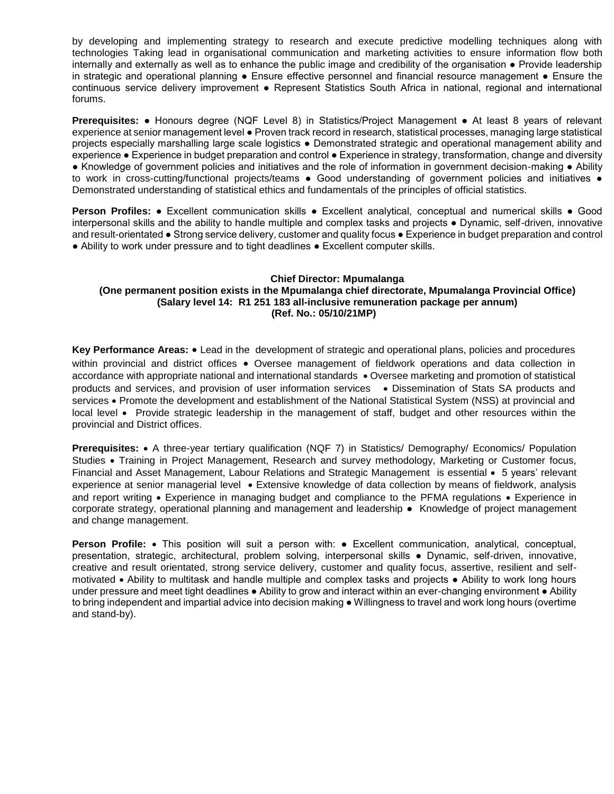by developing and implementing strategy to research and execute predictive modelling techniques along with technologies Taking lead in organisational communication and marketing activities to ensure information flow both internally and externally as well as to enhance the public image and credibility of the organisation ● Provide leadership in strategic and operational planning ● Ensure effective personnel and financial resource management ● Ensure the continuous service delivery improvement ● Represent Statistics South Africa in national, regional and international forums.

**Prerequisites:** ● Honours degree (NQF Level 8) in Statistics/Project Management ● At least 8 years of relevant experience at senior management level ● Proven track record in research, statistical processes, managing large statistical projects especially marshalling large scale logistics ● Demonstrated strategic and operational management ability and experience ● Experience in budget preparation and control ● Experience in strategy, transformation, change and diversity ● Knowledge of government policies and initiatives and the role of information in government decision-making ● Ability to work in cross-cutting/functional projects/teams • Good understanding of government policies and initiatives • Demonstrated understanding of statistical ethics and fundamentals of the principles of official statistics.

**Person Profiles:** ● Excellent communication skills ● Excellent analytical, conceptual and numerical skills ● Good interpersonal skills and the ability to handle multiple and complex tasks and projects ● Dynamic, self-driven, innovative and result-orientated ● Strong service delivery, customer and quality focus ● Experience in budget preparation and control ● Ability to work under pressure and to tight deadlines ● Excellent computer skills.

## **Chief Director: Mpumalanga (One permanent position exists in the Mpumalanga chief directorate, Mpumalanga Provincial Office) (Salary level 14: R1 251 183 all-inclusive remuneration package per annum) (Ref. No.: 05/10/21MP)**

**Key Performance Areas:** Lead in the development of strategic and operational plans, policies and procedures within provincial and district offices . Oversee management of fieldwork operations and data collection in accordance with appropriate national and international standards • Oversee marketing and promotion of statistical products and services, and provision of user information services . Dissemination of Stats SA products and services • Promote the development and establishment of the National Statistical System (NSS) at provincial and local level • Provide strategic leadership in the management of staff, budget and other resources within the provincial and District offices.

**Prerequisites:** • A three-year tertiary qualification (NQF 7) in Statistics/ Demography/ Economics/ Population Studies • Training in Project Management, Research and survey methodology, Marketing or Customer focus, Financial and Asset Management, Labour Relations and Strategic Management is essential • 5 years' relevant experience at senior managerial level . Extensive knowledge of data collection by means of fieldwork, analysis and report writing • Experience in managing budget and compliance to the PFMA regulations • Experience in corporate strategy, operational planning and management and leadership • Knowledge of project management and change management.

**Person Profile:** • This position will suit a person with: • Excellent communication, analytical, conceptual, presentation, strategic, architectural, problem solving, interpersonal skills ● Dynamic, self-driven, innovative, creative and result orientated, strong service delivery, customer and quality focus, assertive, resilient and selfmotivated Ability to multitask and handle multiple and complex tasks and projects ● Ability to work long hours under pressure and meet tight deadlines • Ability to grow and interact within an ever-changing environment • Ability to bring independent and impartial advice into decision making ● Willingness to travel and work long hours (overtime and stand-by).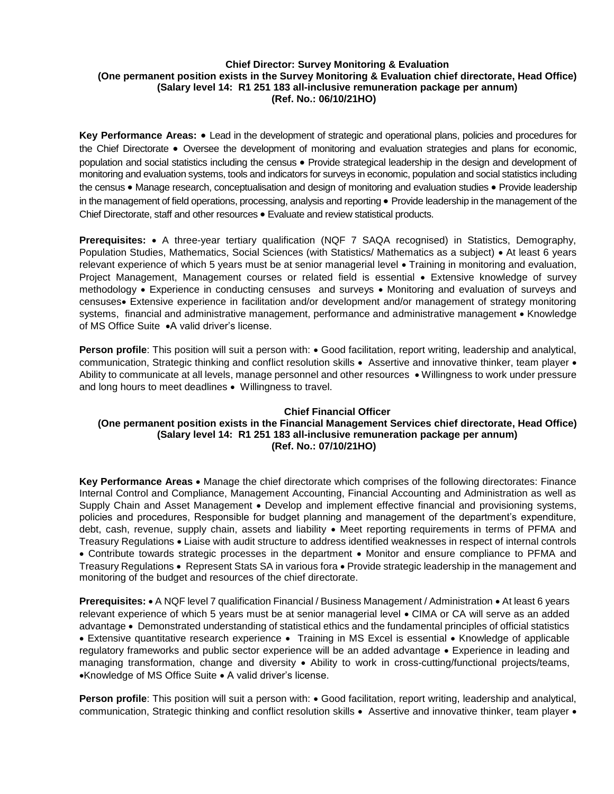## **Chief Director: Survey Monitoring & Evaluation (One permanent position exists in the Survey Monitoring & Evaluation chief directorate, Head Office) (Salary level 14: R1 251 183 all-inclusive remuneration package per annum) (Ref. No.: 06/10/21HO)**

**Key Performance Areas:** Lead in the development of strategic and operational plans, policies and procedures for the Chief Directorate • Oversee the development of monitoring and evaluation strategies and plans for economic, population and social statistics including the census Provide strategical leadership in the design and development of monitoring and evaluation systems, tools and indicators for surveys in economic, population and social statistics including the census • Manage research, conceptualisation and design of monitoring and evaluation studies • Provide leadership in the management of field operations, processing, analysis and reporting Provide leadership in the management of the Chief Directorate, staff and other resources • Evaluate and review statistical products.

**Prerequisites:** • A three-year tertiary qualification (NQF 7 SAQA recognised) in Statistics, Demography, Population Studies, Mathematics, Social Sciences (with Statistics/ Mathematics as a subject) • At least 6 years relevant experience of which 5 years must be at senior managerial level • Training in monitoring and evaluation, Project Management, Management courses or related field is essential • Extensive knowledge of survey methodology • Experience in conducting censuses and surveys • Monitoring and evaluation of surveys and censuses• Extensive experience in facilitation and/or development and/or management of strategy monitoring systems, financial and administrative management, performance and administrative management • Knowledge of MS Office Suite  $\bullet$ A valid driver's license.

**Person profile**: This position will suit a person with:  $\bullet$  Good facilitation, report writing, leadership and analytical, communication, Strategic thinking and conflict resolution skills • Assertive and innovative thinker, team player • Ability to communicate at all levels, manage personnel and other resources • Willingness to work under pressure and long hours to meet deadlines • Willingness to travel.

#### **Chief Financial Officer**

# **(One permanent position exists in the Financial Management Services chief directorate, Head Office) (Salary level 14: R1 251 183 all-inclusive remuneration package per annum) (Ref. No.: 07/10/21HO)**

**Key Performance Areas** Manage the chief directorate which comprises of the following directorates: Finance Internal Control and Compliance, Management Accounting, Financial Accounting and Administration as well as Supply Chain and Asset Management • Develop and implement effective financial and provisioning systems, policies and procedures, Responsible for budget planning and management of the department's expenditure, debt, cash, revenue, supply chain, assets and liability . Meet reporting requirements in terms of PFMA and Treasury Regulations Liaise with audit structure to address identified weaknesses in respect of internal controls • Contribute towards strategic processes in the department • Monitor and ensure compliance to PFMA and Treasury Regulations • Represent Stats SA in various fora • Provide strategic leadership in the management and monitoring of the budget and resources of the chief directorate.

**Prerequisites:** • A NQF level 7 qualification Financial / Business Management / Administration • At least 6 years relevant experience of which 5 years must be at senior managerial level CIMA or CA will serve as an added advantage • Demonstrated understanding of statistical ethics and the fundamental principles of official statistics • Extensive quantitative research experience • Training in MS Excel is essential • Knowledge of applicable regulatory frameworks and public sector experience will be an added advantage • Experience in leading and managing transformation, change and diversity • Ability to work in cross-cutting/functional projects/teams, •Knowledge of MS Office Suite • A valid driver's license.

Person profile: This position will suit a person with: . Good facilitation, report writing, leadership and analytical, communication, Strategic thinking and conflict resolution skills • Assertive and innovative thinker, team player •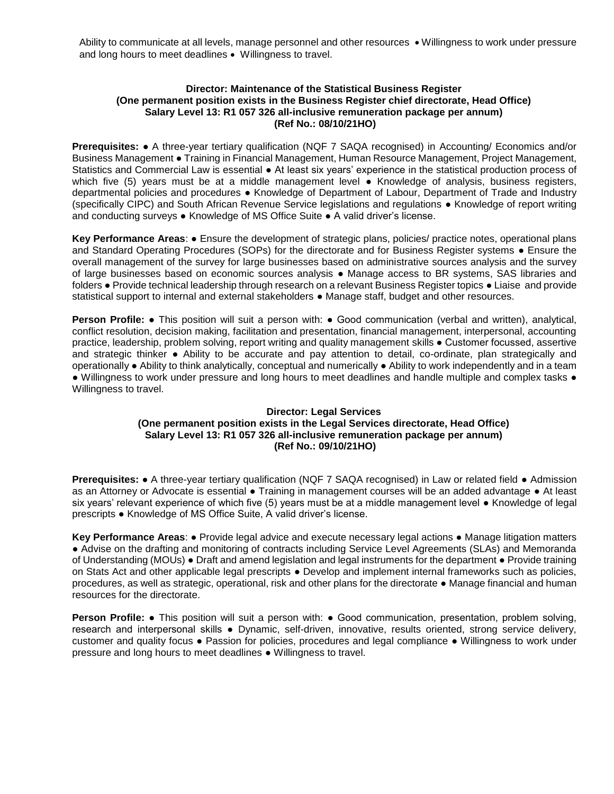Ability to communicate at all levels, manage personnel and other resources • Willingness to work under pressure and long hours to meet deadlines . Willingness to travel.

#### **Director: Maintenance of the Statistical Business Register (One permanent position exists in the Business Register chief directorate, Head Office) Salary Level 13: R1 057 326 all-inclusive remuneration package per annum) (Ref No.: 08/10/21HO)**

**Prerequisites:** ● A three-year tertiary qualification (NQF 7 SAQA recognised) in Accounting/ Economics and/or Business Management ● Training in Financial Management, Human Resource Management, Project Management, Statistics and Commercial Law is essential ● At least six years' experience in the statistical production process of which five (5) years must be at a middle management level • Knowledge of analysis, business registers, departmental policies and procedures ● Knowledge of Department of Labour, Department of Trade and Industry (specifically CIPC) and South African Revenue Service legislations and regulations ● Knowledge of report writing and conducting surveys ● Knowledge of MS Office Suite ● A valid driver's license.

**Key Performance Areas**: ● Ensure the development of strategic plans, policies/ practice notes, operational plans and Standard Operating Procedures (SOPs) for the directorate and for Business Register systems ● Ensure the overall management of the survey for large businesses based on administrative sources analysis and the survey of large businesses based on economic sources analysis ● Manage access to BR systems, SAS libraries and folders ● Provide technical leadership through research on a relevant Business Register topics ● Liaise and provide statistical support to internal and external stakeholders ● Manage staff, budget and other resources.

**Person Profile: •** This position will suit a person with: • Good communication (verbal and written), analytical, conflict resolution, decision making, facilitation and presentation, financial management, interpersonal, accounting practice, leadership, problem solving, report writing and quality management skills ● Customer focussed, assertive and strategic thinker ● Ability to be accurate and pay attention to detail, co-ordinate, plan strategically and operationally ● Ability to think analytically, conceptual and numerically ● Ability to work independently and in a team ● Willingness to work under pressure and long hours to meet deadlines and handle multiple and complex tasks ● Willingness to travel.

### **Director: Legal Services (One permanent position exists in the Legal Services directorate, Head Office) Salary Level 13: R1 057 326 all-inclusive remuneration package per annum) (Ref No.: 09/10/21HO)**

**Prerequisites:** ● A three-year tertiary qualification (NQF 7 SAQA recognised) in Law or related field ● Admission as an Attorney or Advocate is essential ● Training in management courses will be an added advantage ● At least six years' relevant experience of which five (5) years must be at a middle management level ● Knowledge of legal prescripts ● Knowledge of MS Office Suite, A valid driver's license.

**Key Performance Areas**: ● Provide legal advice and execute necessary legal actions ● Manage litigation matters ● Advise on the drafting and monitoring of contracts including Service Level Agreements (SLAs) and Memoranda of Understanding (MOUs) ● Draft and amend legislation and legal instruments for the department ● Provide training on Stats Act and other applicable legal prescripts ● Develop and implement internal frameworks such as policies, procedures, as well as strategic, operational, risk and other plans for the directorate ● Manage financial and human resources for the directorate.

**Person Profile: •** This position will suit a person with: • Good communication, presentation, problem solving, research and interpersonal skills ● Dynamic, self-driven, innovative, results oriented, strong service delivery, customer and quality focus ● Passion for policies, procedures and legal compliance ● Willingness to work under pressure and long hours to meet deadlines ● Willingness to travel.